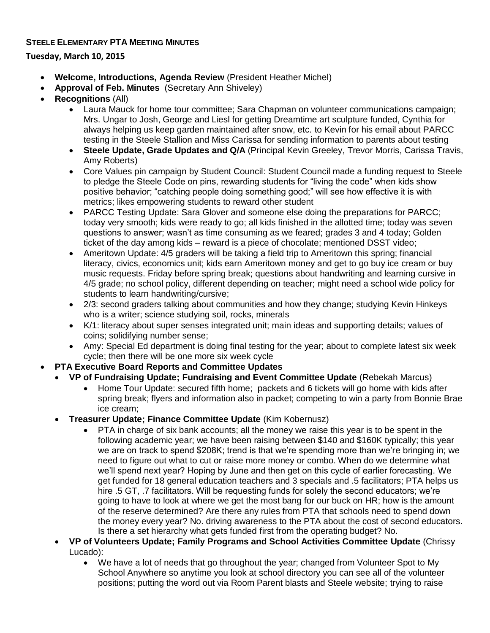## **STEELE ELEMENTARY PTA MEETING MINUTES**

**Tuesday, March 10, 2015**

- **Welcome, Introductions, Agenda Review** (President Heather Michel)
- **Approval of Feb. Minutes** (Secretary Ann Shiveley)
- **Recognitions** (All)
	- Laura Mauck for home tour committee; Sara Chapman on volunteer communications campaign; Mrs. Ungar to Josh, George and Liesl for getting Dreamtime art sculpture funded, Cynthia for always helping us keep garden maintained after snow, etc. to Kevin for his email about PARCC testing in the Steele Stallion and Miss Carissa for sending information to parents about testing
	- **Steele Update, Grade Updates and Q/A** (Principal Kevin Greeley, Trevor Morris, Carissa Travis, Amy Roberts)
	- Core Values pin campaign by Student Council: Student Council made a funding request to Steele to pledge the Steele Code on pins, rewarding students for "living the code" when kids show positive behavior; "catching people doing something good;" will see how effective it is with metrics; likes empowering students to reward other student
	- PARCC Testing Update: Sara Glover and someone else doing the preparations for PARCC; today very smooth; kids were ready to go; all kids finished in the allotted time; today was seven questions to answer; wasn't as time consuming as we feared; grades 3 and 4 today; Golden ticket of the day among kids – reward is a piece of chocolate; mentioned DSST video;
	- Ameritown Update: 4/5 graders will be taking a field trip to Ameritown this spring; financial literacy, civics, economics unit; kids earn Ameritown money and get to go buy ice cream or buy music requests. Friday before spring break; questions about handwriting and learning cursive in 4/5 grade; no school policy, different depending on teacher; might need a school wide policy for students to learn handwriting/cursive;
	- 2/3: second graders talking about communities and how they change; studying Kevin Hinkeys who is a writer; science studying soil, rocks, minerals
	- K/1: literacy about super senses integrated unit; main ideas and supporting details; values of coins; solidifying number sense;
	- Amy: Special Ed department is doing final testing for the year; about to complete latest six week cycle; then there will be one more six week cycle
- **PTA Executive Board Reports and Committee Updates** 
	- **VP of Fundraising Update; Fundraising and Event Committee Update** (Rebekah Marcus)
		- Home Tour Update: secured fifth home; packets and 6 tickets will go home with kids after spring break; flyers and information also in packet; competing to win a party from Bonnie Brae ice cream;
		- **Treasurer Update; Finance Committee Update** (Kim Kobernusz)
			- PTA in charge of six bank accounts; all the money we raise this year is to be spent in the following academic year; we have been raising between \$140 and \$160K typically; this year we are on track to spend \$208K; trend is that we're spending more than we're bringing in; we need to figure out what to cut or raise more money or combo. When do we determine what we'll spend next year? Hoping by June and then get on this cycle of earlier forecasting. We get funded for 18 general education teachers and 3 specials and .5 facilitators; PTA helps us hire .5 GT, .7 facilitators. Will be requesting funds for solely the second educators; we're going to have to look at where we get the most bang for our buck on HR; how is the amount of the reserve determined? Are there any rules from PTA that schools need to spend down the money every year? No. driving awareness to the PTA about the cost of second educators. Is there a set hierarchy what gets funded first from the operating budget? No.
	- **VP of Volunteers Update; Family Programs and School Activities Committee Update** (Chrissy Lucado):
		- We have a lot of needs that go throughout the year; changed from Volunteer Spot to My School Anywhere so anytime you look at school directory you can see all of the volunteer positions; putting the word out via Room Parent blasts and Steele website; trying to raise